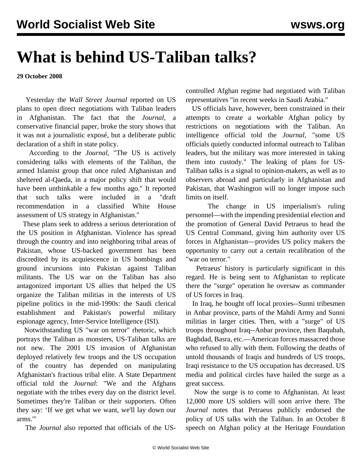## **What is behind US-Taliban talks?**

**29 October 2008**

 Yesterday the *Wall Street Journal* reported on US plans to open direct negotiations with Taliban leaders in Afghanistan. The fact that the *Journal*, a conservative financial paper, broke the story shows that it was not a journalistic exposé, but a deliberate public declaration of a shift in state policy.

 According to the *Journal*, "The US is actively considering talks with elements of the Taliban, the armed Islamist group that once ruled Afghanistan and sheltered al-Qaeda, in a major policy shift that would have been unthinkable a few months ago." It reported that such talks were included in a "draft recommendation in a classified White House assessment of US strategy in Afghanistan."

 These plans seek to address a serious deterioration of the US position in Afghanistan. Violence has spread through the country and into neighboring tribal areas of Pakistan, whose US-backed government has been discredited by its acquiescence in US bombings and ground incursions into Pakistan against Taliban militants. The US war on the Taliban has also antagonized important US allies that helped the US organize the Taliban militias in the interests of US pipeline politics in the mid-1990s: the Saudi clerical establishment and Pakistan's powerful military espionage agency, Inter-Service Intelligence (ISI).

 Notwithstanding US "war on terror" rhetoric, which portrays the Taliban as monsters, US-Taliban talks are not new. The 2001 US invasion of Afghanistan deployed relatively few troops and the US occupation of the country has depended on manipulating Afghanistan's fractious tribal elite. A State Department official told the *Journal*: "We and the Afghans negotiate with the tribes every day on the district level. Sometimes they're Taliban or their supporters. Often they say: 'If we get what we want, we'll lay down our arms.'"

The *Journal* also reported that officials of the US-

controlled Afghan regime had negotiated with Taliban representatives "in recent weeks in Saudi Arabia."

 US officials have, however, been constrained in their attempts to create a workable Afghan policy by restrictions on negotiations with the Taliban. An intelligence official told the *Journal*, "some US officials quietly conducted informal outreach to Taliban leaders, but the military was more interested in taking them into custody." The leaking of plans for US-Taliban talks is a signal to opinion-makers, as well as to observers abroad and particularly in Afghanistan and Pakistan, that Washington will no longer impose such limits on itself.

 The change in US imperialism's ruling personnel—with the impending presidential election and the promotion of General David Petraeus to head the US Central Command, giving him authority over US forces in Afghanistan—provides US policy makers the opportunity to carry out a certain recalibration of the "war on terror."

 Petraeus' history is particularly significant in this regard. He is being sent to Afghanistan to replicate there the "surge" operation he oversaw as commander of US forces in Iraq.

 In Iraq, he bought off local proxies--Sunni tribesmen in Anbar province, parts of the Mahdi Army and Sunni militias in larger cities. Then, with a "surge" of US troops throughout Iraq--Anbar province, then Baqubah, Baghdad, Basra, etc.—American forces massacred those who refused to ally with them. Following the deaths of untold thousands of Iraqis and hundreds of US troops, Iraqi resistance to the US occupation has decreased. US media and political circles have hailed the surge as a great success.

 Now the surge is to come to Afghanistan. At least 12,000 more US soldiers will soon arrive there. The *Journal* notes that Petraeus publicly endorsed the policy of US talks with the Taliban. In an October 8 speech on Afghan policy at the Heritage Foundation